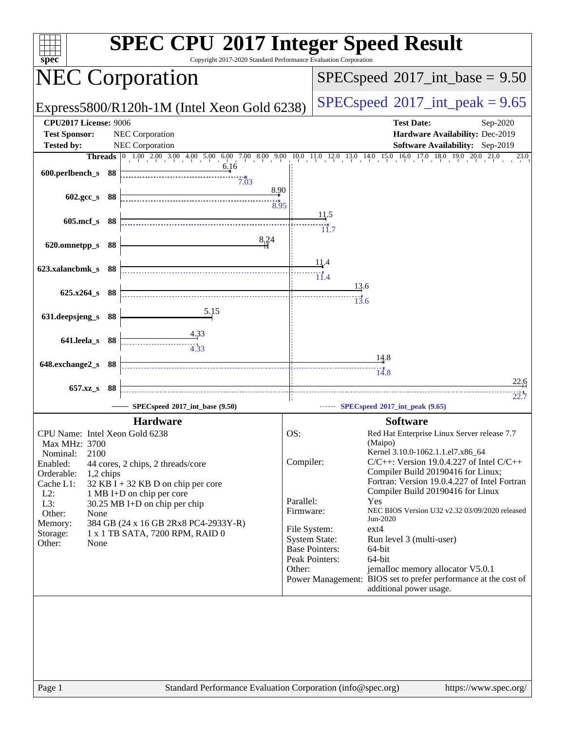| $spec^*$                                        | <b>SPEC CPU®2017 Integer Speed Result</b><br>Copyright 2017-2020 Standard Performance Evaluation Corporation                                                                    |                                            |                                                         |                                                                                            |  |
|-------------------------------------------------|---------------------------------------------------------------------------------------------------------------------------------------------------------------------------------|--------------------------------------------|---------------------------------------------------------|--------------------------------------------------------------------------------------------|--|
|                                                 | <b>NEC Corporation</b>                                                                                                                                                          | $SPEC speed^{\circ}2017\_int\_base = 9.50$ |                                                         |                                                                                            |  |
|                                                 | Express5800/R120h-1M (Intel Xeon Gold 6238)                                                                                                                                     |                                            |                                                         | $SPEC speed^{\circ}2017\_int\_peak = 9.65$                                                 |  |
| <b>CPU2017 License: 9006</b>                    |                                                                                                                                                                                 |                                            |                                                         | <b>Test Date:</b><br>Sep-2020                                                              |  |
| <b>Test Sponsor:</b>                            | NEC Corporation                                                                                                                                                                 |                                            |                                                         | Hardware Availability: Dec-2019                                                            |  |
| <b>Tested by:</b>                               | NEC Corporation                                                                                                                                                                 |                                            |                                                         | <b>Software Availability:</b> Sep-2019<br>18.0 19.0 20.0<br>21.0<br>23.0                   |  |
|                                                 | <b>Threads</b> $\begin{bmatrix} 0 & 1.00 & 2.00 & 3.00 & 4.00 & 5.00 & 6.00 & 7.00 & 8.00 & 9.00 & 10.0 & 11.0 & 12.0 & 13.0 & 14.0 & 15.0 & 16.0 & 17.0 \end{bmatrix}$<br>6.16 |                                            |                                                         |                                                                                            |  |
| 600.perlbench_s 88                              | 7.03                                                                                                                                                                            |                                            |                                                         |                                                                                            |  |
| 602.gcc_s 88                                    | 8.90                                                                                                                                                                            |                                            |                                                         |                                                                                            |  |
|                                                 | 8.95                                                                                                                                                                            |                                            |                                                         |                                                                                            |  |
| 605.mcf_s 88                                    |                                                                                                                                                                                 |                                            | <u>11</u> .5                                            |                                                                                            |  |
|                                                 |                                                                                                                                                                                 |                                            | $\dddot{11.7}$                                          |                                                                                            |  |
| 620.omnetpp_s 88                                | 8,24                                                                                                                                                                            |                                            |                                                         |                                                                                            |  |
|                                                 |                                                                                                                                                                                 |                                            | 11.4                                                    |                                                                                            |  |
| 623.xalancbmk_s 88                              |                                                                                                                                                                                 |                                            | $\overline{11.4}$                                       |                                                                                            |  |
| 625.x264 s 88                                   |                                                                                                                                                                                 |                                            | 13.6                                                    |                                                                                            |  |
|                                                 |                                                                                                                                                                                 |                                            | 13.6                                                    |                                                                                            |  |
| 631.deepsjeng_s                                 | 5.15<br>- 88                                                                                                                                                                    |                                            |                                                         |                                                                                            |  |
|                                                 |                                                                                                                                                                                 |                                            |                                                         |                                                                                            |  |
| 641.leela_s 88                                  |                                                                                                                                                                                 |                                            |                                                         |                                                                                            |  |
|                                                 |                                                                                                                                                                                 |                                            |                                                         | $\frac{14.8}{2}$                                                                           |  |
| 648.exchange2_s 88                              |                                                                                                                                                                                 |                                            |                                                         | 14.8                                                                                       |  |
| 657.xz_s                                        | -88                                                                                                                                                                             |                                            |                                                         | 22.6                                                                                       |  |
|                                                 |                                                                                                                                                                                 |                                            |                                                         | 22.7                                                                                       |  |
|                                                 | SPECspeed®2017_int_base (9.50)                                                                                                                                                  |                                            |                                                         | SPECspeed®2017_int_peak (9.65)                                                             |  |
|                                                 | <b>Hardware</b>                                                                                                                                                                 |                                            |                                                         | <b>Software</b>                                                                            |  |
| CPU Name: Intel Xeon Gold 6238<br>Max MHz: 3700 |                                                                                                                                                                                 | OS:                                        |                                                         | Red Hat Enterprise Linux Server release 7.7<br>(Maipo)                                     |  |
| 2100<br>Nominal:                                |                                                                                                                                                                                 |                                            |                                                         | Kernel 3.10.0-1062.1.1.el7.x86_64                                                          |  |
| Enabled:                                        | 44 cores, 2 chips, 2 threads/core                                                                                                                                               | Compiler:                                  |                                                         | $C/C++$ : Version 19.0.4.227 of Intel $C/C++$                                              |  |
| Orderable:<br>1,2 chips<br>Cache L1:            |                                                                                                                                                                                 |                                            |                                                         | Compiler Build 20190416 for Linux;<br>Fortran: Version 19.0.4.227 of Intel Fortran         |  |
| $L2$ :                                          | $32$ KB I + 32 KB D on chip per core<br>1 MB I+D on chip per core                                                                                                               |                                            |                                                         | Compiler Build 20190416 for Linux                                                          |  |
| L3:                                             | 30.25 MB I+D on chip per chip                                                                                                                                                   | Parallel:                                  | Yes                                                     |                                                                                            |  |
| Other:<br>None<br>Memory:                       | 384 GB (24 x 16 GB 2Rx8 PC4-2933Y-R)                                                                                                                                            | Firmware:                                  |                                                         | NEC BIOS Version U32 v2.32 03/09/2020 released<br>Jun-2020                                 |  |
| Storage:                                        | 1 x 1 TB SATA, 7200 RPM, RAID 0                                                                                                                                                 | File System:                               | ext4                                                    |                                                                                            |  |
| Other:<br>None                                  |                                                                                                                                                                                 |                                            | <b>System State:</b><br><b>Base Pointers:</b><br>64-bit | Run level 3 (multi-user)                                                                   |  |
|                                                 |                                                                                                                                                                                 |                                            | Peak Pointers:<br>64-bit                                |                                                                                            |  |
|                                                 |                                                                                                                                                                                 | Other:                                     |                                                         | jemalloc memory allocator V5.0.1                                                           |  |
|                                                 |                                                                                                                                                                                 |                                            |                                                         | Power Management: BIOS set to prefer performance at the cost of<br>additional power usage. |  |
|                                                 |                                                                                                                                                                                 |                                            |                                                         |                                                                                            |  |
|                                                 |                                                                                                                                                                                 |                                            |                                                         |                                                                                            |  |
|                                                 |                                                                                                                                                                                 |                                            |                                                         |                                                                                            |  |
|                                                 |                                                                                                                                                                                 |                                            |                                                         |                                                                                            |  |
|                                                 |                                                                                                                                                                                 |                                            |                                                         |                                                                                            |  |
|                                                 |                                                                                                                                                                                 |                                            |                                                         |                                                                                            |  |
| Page 1                                          | Standard Performance Evaluation Corporation (info@spec.org)                                                                                                                     |                                            |                                                         | https://www.spec.org/                                                                      |  |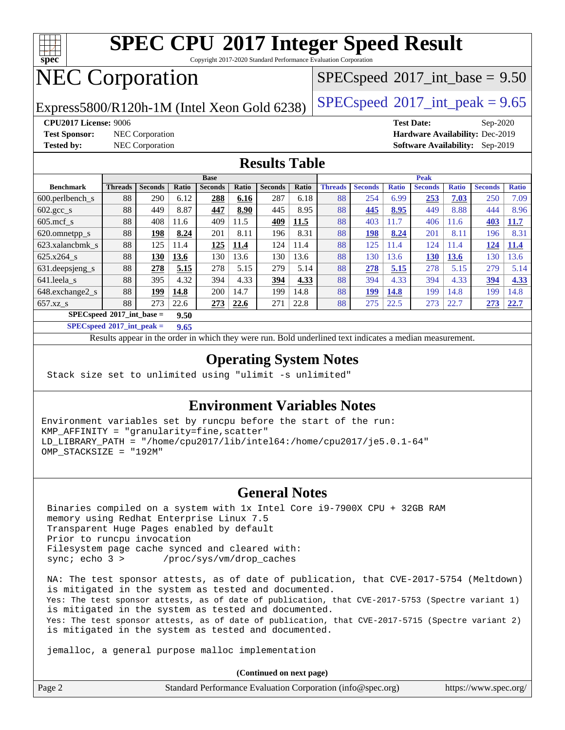

Copyright 2017-2020 Standard Performance Evaluation Corporation

## NEC Corporation

 $SPECspeed^{\circledcirc}2017\_int\_base = 9.50$  $SPECspeed^{\circledcirc}2017\_int\_base = 9.50$ 

Express5800/R120h-1M (Intel Xeon Gold 6238) [SPECspeed](http://www.spec.org/auto/cpu2017/Docs/result-fields.html#SPECspeed2017intpeak)®2017\_int\_peak =  $9.65$ 

**[Test Sponsor:](http://www.spec.org/auto/cpu2017/Docs/result-fields.html#TestSponsor)** NEC Corporation **[Hardware Availability:](http://www.spec.org/auto/cpu2017/Docs/result-fields.html#HardwareAvailability)** Dec-2019

**[CPU2017 License:](http://www.spec.org/auto/cpu2017/Docs/result-fields.html#CPU2017License)** 9006 **[Test Date:](http://www.spec.org/auto/cpu2017/Docs/result-fields.html#TestDate)** Sep-2020 **[Tested by:](http://www.spec.org/auto/cpu2017/Docs/result-fields.html#Testedby)** NEC Corporation **[Software Availability:](http://www.spec.org/auto/cpu2017/Docs/result-fields.html#SoftwareAvailability)** Sep-2019

#### **[Results Table](http://www.spec.org/auto/cpu2017/Docs/result-fields.html#ResultsTable)**

|                                     | <b>Base</b>    |                |       |                |       | <b>Peak</b>    |       |                |                |              |                |              |                |              |
|-------------------------------------|----------------|----------------|-------|----------------|-------|----------------|-------|----------------|----------------|--------------|----------------|--------------|----------------|--------------|
| <b>Benchmark</b>                    | <b>Threads</b> | <b>Seconds</b> | Ratio | <b>Seconds</b> | Ratio | <b>Seconds</b> | Ratio | <b>Threads</b> | <b>Seconds</b> | <b>Ratio</b> | <b>Seconds</b> | <b>Ratio</b> | <b>Seconds</b> | <b>Ratio</b> |
| $600.$ perlbench $\mathsf{S}$       | 88             | 290            | 6.12  | 288            | 6.16  | 287            | 6.18  | 88             | 254            | 6.99         | 253            | 7.03         | 250            | 7.09         |
| $602.\text{gcc}\_\text{s}$          | 88             | 449            | 8.87  | 447            | 8.90  | 445            | 8.95  | 88             | 445            | 8.95         | 449            | 8.88         | 444            | 8.96         |
| $605$ .mcf s                        | 88             | 408            | 11.6  | 409            | 11.5  | 409            | 11.5  | 88             | 403            | 11.7         | 406            | 11.6         | 403            | 11.7         |
| 620.omnetpp_s                       | 88             | 198            | 8.24  | 201            | 8.11  | 196            | 8.31  | 88             | 198            | 8.24         | 201            | 8.11         | 196            | 8.31         |
| 623.xalancbmk s                     | 88             | 125            | 11.4  | 125            | 11.4  | 124            | 11.4  | 88             | 125            | 11.4         | 124            | 11.4         | 124            | 11.4         |
| $625.x264$ s                        | 88             | 130            | 13.6  | 130            | 13.6  | 130            | 13.6  | 88             | 130            | 13.6         | 130            | 13.6         | 130            | 13.6         |
| 631.deepsjeng_s                     | 88             | 278            | 5.15  | 278            | 5.15  | 279            | 5.14  | 88             | 278            | 5.15         | 278            | 5.15         | 279            | 5.14         |
| 641.leela s                         | 88             | 395            | 4.32  | 394            | 4.33  | 394            | 4.33  | 88             | 394            | 4.33         | 394            | 4.33         | 394            | 4.33         |
| 648.exchange2_s                     | 88             | 199            | 14.8  | 200            | 14.7  | 199            | 14.8  | 88             | 199            | 14.8         | 199            | 14.8         | 199            | 14.8         |
| $657.xz$ s                          | 88             | 273            | 22.6  | 273            | 22.6  | 271            | 22.8  | 88             | 275            | 22.5         | 273            | 22.7         | 273            | 22.7         |
| $SPECspeed*2017$ int base =<br>9.50 |                |                |       |                |       |                |       |                |                |              |                |              |                |              |

**[SPECspeed](http://www.spec.org/auto/cpu2017/Docs/result-fields.html#SPECspeed2017intpeak)[2017\\_int\\_peak =](http://www.spec.org/auto/cpu2017/Docs/result-fields.html#SPECspeed2017intpeak) 9.65**

Results appear in the [order in which they were run.](http://www.spec.org/auto/cpu2017/Docs/result-fields.html#RunOrder) Bold underlined text [indicates a median measurement](http://www.spec.org/auto/cpu2017/Docs/result-fields.html#Median).

### **[Operating System Notes](http://www.spec.org/auto/cpu2017/Docs/result-fields.html#OperatingSystemNotes)**

Stack size set to unlimited using "ulimit -s unlimited"

### **[Environment Variables Notes](http://www.spec.org/auto/cpu2017/Docs/result-fields.html#EnvironmentVariablesNotes)**

Environment variables set by runcpu before the start of the run: KMP\_AFFINITY = "granularity=fine,scatter" LD\_LIBRARY\_PATH = "/home/cpu2017/lib/intel64:/home/cpu2017/je5.0.1-64" OMP\_STACKSIZE = "192M"

### **[General Notes](http://www.spec.org/auto/cpu2017/Docs/result-fields.html#GeneralNotes)**

 Binaries compiled on a system with 1x Intel Core i9-7900X CPU + 32GB RAM memory using Redhat Enterprise Linux 7.5 Transparent Huge Pages enabled by default Prior to runcpu invocation Filesystem page cache synced and cleared with: sync; echo 3 > /proc/sys/vm/drop\_caches

 NA: The test sponsor attests, as of date of publication, that CVE-2017-5754 (Meltdown) is mitigated in the system as tested and documented. Yes: The test sponsor attests, as of date of publication, that CVE-2017-5753 (Spectre variant 1) is mitigated in the system as tested and documented. Yes: The test sponsor attests, as of date of publication, that CVE-2017-5715 (Spectre variant 2) is mitigated in the system as tested and documented.

jemalloc, a general purpose malloc implementation

**(Continued on next page)**

| Page 2 | Standard Performance Evaluation Corporation (info@spec.org) | https://www.spec.org/ |
|--------|-------------------------------------------------------------|-----------------------|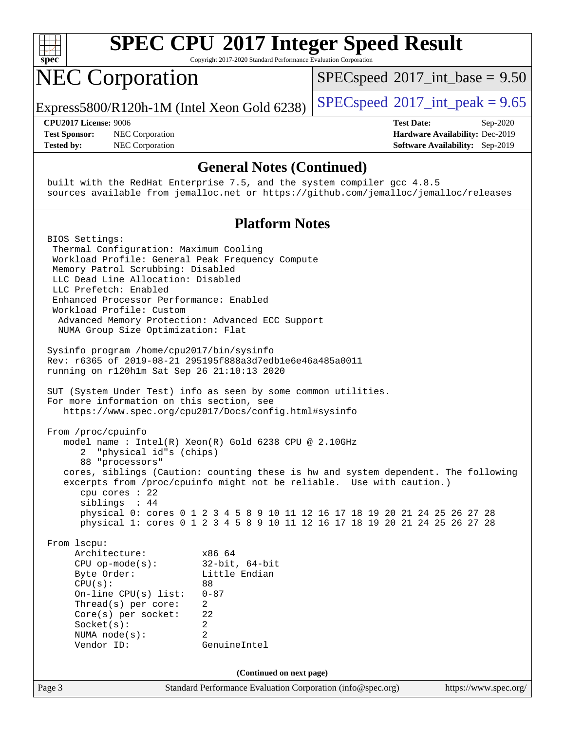

Copyright 2017-2020 Standard Performance Evaluation Corporation

## NEC Corporation

 $SPECspeed^{\circ}2017\_int\_base = 9.50$  $SPECspeed^{\circ}2017\_int\_base = 9.50$ 

Express5800/R120h-1M (Intel Xeon Gold 6238) [SPECspeed](http://www.spec.org/auto/cpu2017/Docs/result-fields.html#SPECspeed2017intpeak)<sup>®</sup>[2017\\_int\\_peak = 9](http://www.spec.org/auto/cpu2017/Docs/result-fields.html#SPECspeed2017intpeak).65

**[Test Sponsor:](http://www.spec.org/auto/cpu2017/Docs/result-fields.html#TestSponsor)** NEC Corporation **[Hardware Availability:](http://www.spec.org/auto/cpu2017/Docs/result-fields.html#HardwareAvailability)** Dec-2019 **[Tested by:](http://www.spec.org/auto/cpu2017/Docs/result-fields.html#Testedby)** NEC Corporation **[Software Availability:](http://www.spec.org/auto/cpu2017/Docs/result-fields.html#SoftwareAvailability)** Sep-2019

**[CPU2017 License:](http://www.spec.org/auto/cpu2017/Docs/result-fields.html#CPU2017License)** 9006 **[Test Date:](http://www.spec.org/auto/cpu2017/Docs/result-fields.html#TestDate)** Sep-2020

### **[General Notes \(Continued\)](http://www.spec.org/auto/cpu2017/Docs/result-fields.html#GeneralNotes)**

 built with the RedHat Enterprise 7.5, and the system compiler gcc 4.8.5 sources available from jemalloc.net or <https://github.com/jemalloc/jemalloc/releases>

### **[Platform Notes](http://www.spec.org/auto/cpu2017/Docs/result-fields.html#PlatformNotes)**

Page 3 Standard Performance Evaluation Corporation [\(info@spec.org\)](mailto:info@spec.org) <https://www.spec.org/> BIOS Settings: Thermal Configuration: Maximum Cooling Workload Profile: General Peak Frequency Compute Memory Patrol Scrubbing: Disabled LLC Dead Line Allocation: Disabled LLC Prefetch: Enabled Enhanced Processor Performance: Enabled Workload Profile: Custom Advanced Memory Protection: Advanced ECC Support NUMA Group Size Optimization: Flat Sysinfo program /home/cpu2017/bin/sysinfo Rev: r6365 of 2019-08-21 295195f888a3d7edb1e6e46a485a0011 running on r120h1m Sat Sep 26 21:10:13 2020 SUT (System Under Test) info as seen by some common utilities. For more information on this section, see <https://www.spec.org/cpu2017/Docs/config.html#sysinfo> From /proc/cpuinfo model name : Intel(R) Xeon(R) Gold 6238 CPU @ 2.10GHz 2 "physical id"s (chips) 88 "processors" cores, siblings (Caution: counting these is hw and system dependent. The following excerpts from /proc/cpuinfo might not be reliable. Use with caution.) cpu cores : 22 siblings : 44 physical 0: cores 0 1 2 3 4 5 8 9 10 11 12 16 17 18 19 20 21 24 25 26 27 28 physical 1: cores 0 1 2 3 4 5 8 9 10 11 12 16 17 18 19 20 21 24 25 26 27 28 From lscpu: Architecture: x86\_64 CPU op-mode(s): 32-bit, 64-bit Byte Order: Little Endian  $CPU(s):$  88 On-line CPU(s) list: 0-87 Thread(s) per core: 2 Core(s) per socket: 22 Socket(s): 2 NUMA node(s): 2 Vendor ID: GenuineIntel **(Continued on next page)**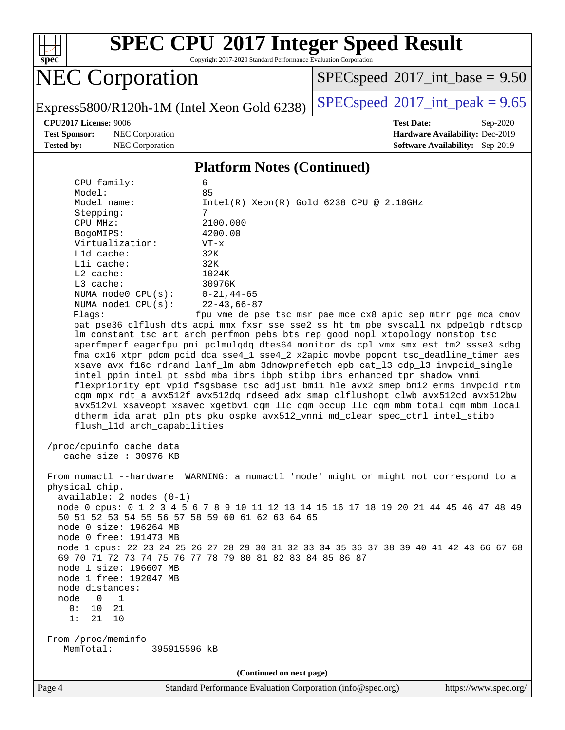

Copyright 2017-2020 Standard Performance Evaluation Corporation

## NEC Corporation

 $SPEC speed$ <sup>®</sup>[2017\\_int\\_base =](http://www.spec.org/auto/cpu2017/Docs/result-fields.html#SPECspeed2017intbase) 9.50

Express5800/R120h-1M (Intel Xeon Gold 6238) [SPECspeed](http://www.spec.org/auto/cpu2017/Docs/result-fields.html#SPECspeed2017intpeak)<sup>®</sup>[2017\\_int\\_peak = 9](http://www.spec.org/auto/cpu2017/Docs/result-fields.html#SPECspeed2017intpeak).65

**[Test Sponsor:](http://www.spec.org/auto/cpu2017/Docs/result-fields.html#TestSponsor)** NEC Corporation **[Hardware Availability:](http://www.spec.org/auto/cpu2017/Docs/result-fields.html#HardwareAvailability)** Dec-2019

**[CPU2017 License:](http://www.spec.org/auto/cpu2017/Docs/result-fields.html#CPU2017License)** 9006 **[Test Date:](http://www.spec.org/auto/cpu2017/Docs/result-fields.html#TestDate)** Sep-2020 **[Tested by:](http://www.spec.org/auto/cpu2017/Docs/result-fields.html#Testedby)** NEC Corporation **[Software Availability:](http://www.spec.org/auto/cpu2017/Docs/result-fields.html#SoftwareAvailability)** Sep-2019

#### **[Platform Notes \(Continued\)](http://www.spec.org/auto/cpu2017/Docs/result-fields.html#PlatformNotes)**

| CPU family:                                                                                                                                                                                                                                                                                                                      | 6                                                                                                                                                                                                                                                                                                                                     |  |  |  |
|----------------------------------------------------------------------------------------------------------------------------------------------------------------------------------------------------------------------------------------------------------------------------------------------------------------------------------|---------------------------------------------------------------------------------------------------------------------------------------------------------------------------------------------------------------------------------------------------------------------------------------------------------------------------------------|--|--|--|
| Model:<br>Model name:                                                                                                                                                                                                                                                                                                            | 85<br>$Intel(R) Xeon(R) Gold 6238 CPU @ 2.10GHz$                                                                                                                                                                                                                                                                                      |  |  |  |
| Stepping:                                                                                                                                                                                                                                                                                                                        | $7^{\circ}$                                                                                                                                                                                                                                                                                                                           |  |  |  |
| CPU MHz:                                                                                                                                                                                                                                                                                                                         | 2100.000                                                                                                                                                                                                                                                                                                                              |  |  |  |
| BogoMIPS:                                                                                                                                                                                                                                                                                                                        | 4200.00                                                                                                                                                                                                                                                                                                                               |  |  |  |
| Virtualization:                                                                                                                                                                                                                                                                                                                  | $VT - x$                                                                                                                                                                                                                                                                                                                              |  |  |  |
| L1d cache:                                                                                                                                                                                                                                                                                                                       | 32K                                                                                                                                                                                                                                                                                                                                   |  |  |  |
| Lli cache:                                                                                                                                                                                                                                                                                                                       | 32K                                                                                                                                                                                                                                                                                                                                   |  |  |  |
| L2 cache:                                                                                                                                                                                                                                                                                                                        | 1024K                                                                                                                                                                                                                                                                                                                                 |  |  |  |
| L3 cache:                                                                                                                                                                                                                                                                                                                        | 30976K                                                                                                                                                                                                                                                                                                                                |  |  |  |
| NUMA node0 $CPU(s): 0-21, 44-65$<br>NUMA nodel $CPU(s):$                                                                                                                                                                                                                                                                         | $22 - 43,66 - 87$                                                                                                                                                                                                                                                                                                                     |  |  |  |
| Flaqs:                                                                                                                                                                                                                                                                                                                           | fpu vme de pse tsc msr pae mce cx8 apic sep mtrr pge mca cmov                                                                                                                                                                                                                                                                         |  |  |  |
|                                                                                                                                                                                                                                                                                                                                  | pat pse36 clflush dts acpi mmx fxsr sse sse2 ss ht tm pbe syscall nx pdpelgb rdtscp                                                                                                                                                                                                                                                   |  |  |  |
|                                                                                                                                                                                                                                                                                                                                  | lm constant_tsc art arch_perfmon pebs bts rep_good nopl xtopology nonstop_tsc                                                                                                                                                                                                                                                         |  |  |  |
|                                                                                                                                                                                                                                                                                                                                  | aperfmperf eagerfpu pni pclmulqdq dtes64 monitor ds_cpl vmx smx est tm2 ssse3 sdbg                                                                                                                                                                                                                                                    |  |  |  |
|                                                                                                                                                                                                                                                                                                                                  | fma cx16 xtpr pdcm pcid dca sse4_1 sse4_2 x2apic movbe popcnt tsc_deadline_timer aes                                                                                                                                                                                                                                                  |  |  |  |
|                                                                                                                                                                                                                                                                                                                                  | xsave avx f16c rdrand lahf_lm abm 3dnowprefetch epb cat_13 cdp_13 invpcid_single                                                                                                                                                                                                                                                      |  |  |  |
|                                                                                                                                                                                                                                                                                                                                  | intel_ppin intel_pt ssbd mba ibrs ibpb stibp ibrs_enhanced tpr_shadow vnmi                                                                                                                                                                                                                                                            |  |  |  |
|                                                                                                                                                                                                                                                                                                                                  | flexpriority ept vpid fsgsbase tsc_adjust bmil hle avx2 smep bmi2 erms invpcid rtm                                                                                                                                                                                                                                                    |  |  |  |
|                                                                                                                                                                                                                                                                                                                                  | cqm mpx rdt_a avx512f avx512dq rdseed adx smap clflushopt clwb avx512cd avx512bw                                                                                                                                                                                                                                                      |  |  |  |
|                                                                                                                                                                                                                                                                                                                                  | avx512vl xsaveopt xsavec xgetbvl cqm_llc cqm_occup_llc cqm_mbm_total cqm_mbm_local<br>dtherm ida arat pln pts pku ospke avx512_vnni md_clear spec_ctrl intel_stibp                                                                                                                                                                    |  |  |  |
| flush_l1d arch_capabilities                                                                                                                                                                                                                                                                                                      |                                                                                                                                                                                                                                                                                                                                       |  |  |  |
| /proc/cpuinfo cache data<br>cache size : 30976 KB<br>physical chip.<br>$available: 2 nodes (0-1)$<br>50 51 52 53 54 55 56 57 58 59 60 61 62 63 64 65<br>node 0 size: 196264 MB<br>node 0 free: 191473 MB<br>node 1 size: 196607 MB<br>node 1 free: 192047 MB<br>node distances:<br>node<br>$\overline{0}$<br>1<br>0:<br>21<br>10 | From numactl --hardware WARNING: a numactl 'node' might or might not correspond to a<br>node 0 cpus: 0 1 2 3 4 5 6 7 8 9 10 11 12 13 14 15 16 17 18 19 20 21 44 45 46 47 48 49<br>node 1 cpus: 22 23 24 25 26 27 28 29 30 31 32 33 34 35 36 37 38 39 40 41 42 43 66 67 68<br>69 70 71 72 73 74 75 76 77 78 79 80 81 82 83 84 85 86 87 |  |  |  |
| 10<br>1:<br>21                                                                                                                                                                                                                                                                                                                   |                                                                                                                                                                                                                                                                                                                                       |  |  |  |
|                                                                                                                                                                                                                                                                                                                                  |                                                                                                                                                                                                                                                                                                                                       |  |  |  |
| From /proc/meminfo<br>MemTotal:<br>395915596 kB                                                                                                                                                                                                                                                                                  |                                                                                                                                                                                                                                                                                                                                       |  |  |  |
|                                                                                                                                                                                                                                                                                                                                  |                                                                                                                                                                                                                                                                                                                                       |  |  |  |
| (Continued on next page)                                                                                                                                                                                                                                                                                                         |                                                                                                                                                                                                                                                                                                                                       |  |  |  |
|                                                                                                                                                                                                                                                                                                                                  |                                                                                                                                                                                                                                                                                                                                       |  |  |  |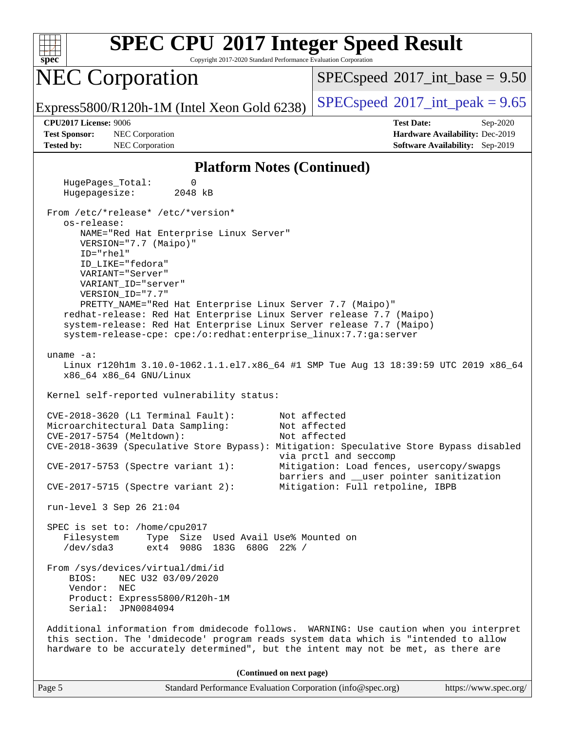

Copyright 2017-2020 Standard Performance Evaluation Corporation

### NEC Corporation

 $SPECspeed^{\circ}2017\_int\_base = 9.50$  $SPECspeed^{\circ}2017\_int\_base = 9.50$ 

Express5800/R120h-1M (Intel Xeon Gold 6238) [SPECspeed](http://www.spec.org/auto/cpu2017/Docs/result-fields.html#SPECspeed2017intpeak)<sup>®</sup>[2017\\_int\\_peak = 9](http://www.spec.org/auto/cpu2017/Docs/result-fields.html#SPECspeed2017intpeak).65

**[Test Sponsor:](http://www.spec.org/auto/cpu2017/Docs/result-fields.html#TestSponsor)** NEC Corporation **[Hardware Availability:](http://www.spec.org/auto/cpu2017/Docs/result-fields.html#HardwareAvailability)** Dec-2019 **[Tested by:](http://www.spec.org/auto/cpu2017/Docs/result-fields.html#Testedby)** NEC Corporation **[Software Availability:](http://www.spec.org/auto/cpu2017/Docs/result-fields.html#SoftwareAvailability)** Sep-2019

**[CPU2017 License:](http://www.spec.org/auto/cpu2017/Docs/result-fields.html#CPU2017License)** 9006 **[Test Date:](http://www.spec.org/auto/cpu2017/Docs/result-fields.html#TestDate)** Sep-2020

#### **[Platform Notes \(Continued\)](http://www.spec.org/auto/cpu2017/Docs/result-fields.html#PlatformNotes)**

 HugePages\_Total: 0 Hugepagesize: 2048 kB From /etc/\*release\* /etc/\*version\* os-release: NAME="Red Hat Enterprise Linux Server" VERSION="7.7 (Maipo)" ID="rhel" ID\_LIKE="fedora" VARIANT="Server" VARIANT\_ID="server" VERSION\_ID="7.7" PRETTY\_NAME="Red Hat Enterprise Linux Server 7.7 (Maipo)" redhat-release: Red Hat Enterprise Linux Server release 7.7 (Maipo) system-release: Red Hat Enterprise Linux Server release 7.7 (Maipo) system-release-cpe: cpe:/o:redhat:enterprise\_linux:7.7:ga:server uname -a: Linux r120h1m 3.10.0-1062.1.1.el7.x86\_64 #1 SMP Tue Aug 13 18:39:59 UTC 2019 x86\_64 x86\_64 x86\_64 GNU/Linux Kernel self-reported vulnerability status: CVE-2018-3620 (L1 Terminal Fault): Not affected Microarchitectural Data Sampling: Not affected CVE-2017-5754 (Meltdown): Not affected CVE-2018-3639 (Speculative Store Bypass): Mitigation: Speculative Store Bypass disabled via prctl and seccomp CVE-2017-5753 (Spectre variant 1): Mitigation: Load fences, usercopy/swapgs barriers and \_\_user pointer sanitization CVE-2017-5715 (Spectre variant 2): Mitigation: Full retpoline, IBPB run-level 3 Sep 26 21:04 SPEC is set to: /home/cpu2017 Filesystem Type Size Used Avail Use% Mounted on /dev/sda3 ext4 908G 183G 680G 22% / From /sys/devices/virtual/dmi/id BIOS: NEC U32 03/09/2020 Vendor: NEC Product: Express5800/R120h-1M Serial: JPN0084094 Additional information from dmidecode follows. WARNING: Use caution when you interpret this section. The 'dmidecode' program reads system data which is "intended to allow hardware to be accurately determined", but the intent may not be met, as there are **(Continued on next page)**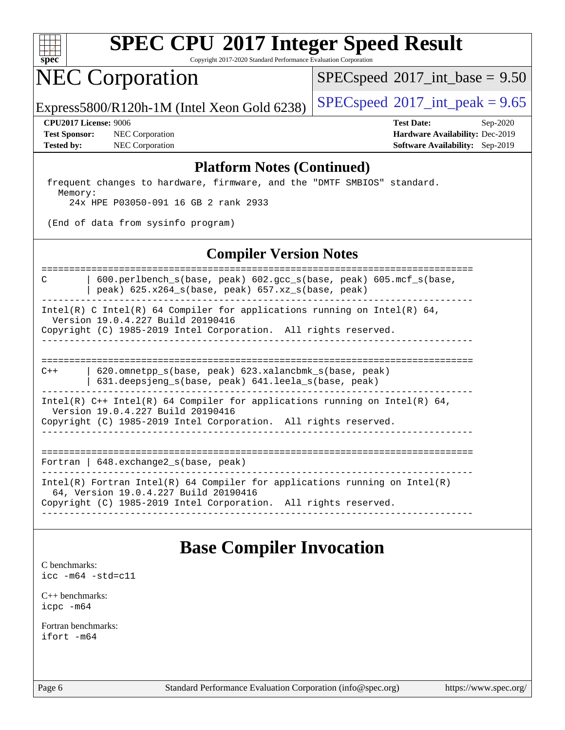

Copyright 2017-2020 Standard Performance Evaluation Corporation

### NEC Corporation

 $SPECspeed^{\circledcirc}2017\_int\_base = 9.50$  $SPECspeed^{\circledcirc}2017\_int\_base = 9.50$ 

Express5800/R120h-1M (Intel Xeon Gold 6238) [SPECspeed](http://www.spec.org/auto/cpu2017/Docs/result-fields.html#SPECspeed2017intpeak)®2017\_int\_peak =  $9.65$ 

**[Test Sponsor:](http://www.spec.org/auto/cpu2017/Docs/result-fields.html#TestSponsor)** NEC Corporation **[Hardware Availability:](http://www.spec.org/auto/cpu2017/Docs/result-fields.html#HardwareAvailability)** Dec-2019 **[Tested by:](http://www.spec.org/auto/cpu2017/Docs/result-fields.html#Testedby)** NEC Corporation **[Software Availability:](http://www.spec.org/auto/cpu2017/Docs/result-fields.html#SoftwareAvailability)** Sep-2019

**[CPU2017 License:](http://www.spec.org/auto/cpu2017/Docs/result-fields.html#CPU2017License)** 9006 **[Test Date:](http://www.spec.org/auto/cpu2017/Docs/result-fields.html#TestDate)** Sep-2020

#### **[Platform Notes \(Continued\)](http://www.spec.org/auto/cpu2017/Docs/result-fields.html#PlatformNotes)**

 frequent changes to hardware, firmware, and the "DMTF SMBIOS" standard. Memory: 24x HPE P03050-091 16 GB 2 rank 2933

(End of data from sysinfo program)

### **[Compiler Version Notes](http://www.spec.org/auto/cpu2017/Docs/result-fields.html#CompilerVersionNotes)**

============================================================================== C | 600.perlbench\_s(base, peak) 602.gcc\_s(base, peak) 605.mcf\_s(base, | peak) 625.x264\_s(base, peak) 657.xz\_s(base, peak) ------------------------------------------------------------------------------

Intel(R) C Intel(R) 64 Compiler for applications running on Intel(R) 64, Version 19.0.4.227 Build 20190416

Copyright (C) 1985-2019 Intel Corporation. All rights reserved. ------------------------------------------------------------------------------

==============================================================================

C++ | 620.omnetpp\_s(base, peak) 623.xalancbmk\_s(base, peak) | 631.deepsjeng\_s(base, peak) 641.leela\_s(base, peak) ------------------------------------------------------------------------------

Intel(R)  $C++$  Intel(R) 64 Compiler for applications running on Intel(R) 64,

Version 19.0.4.227 Build 20190416

Copyright (C) 1985-2019 Intel Corporation. All rights reserved. ------------------------------------------------------------------------------

==============================================================================

Fortran | 648.exchange2\_s(base, peak)

------------------------------------------------------------------------------ Intel(R) Fortran Intel(R) 64 Compiler for applications running on Intel(R)

64, Version 19.0.4.227 Build 20190416

Copyright (C) 1985-2019 Intel Corporation. All rights reserved. ------------------------------------------------------------------------------

### **[Base Compiler Invocation](http://www.spec.org/auto/cpu2017/Docs/result-fields.html#BaseCompilerInvocation)**

[C benchmarks](http://www.spec.org/auto/cpu2017/Docs/result-fields.html#Cbenchmarks): [icc -m64 -std=c11](http://www.spec.org/cpu2017/results/res2020q4/cpu2017-20200928-24119.flags.html#user_CCbase_intel_icc_64bit_c11_33ee0cdaae7deeeab2a9725423ba97205ce30f63b9926c2519791662299b76a0318f32ddfffdc46587804de3178b4f9328c46fa7c2b0cd779d7a61945c91cd35)

[C++ benchmarks:](http://www.spec.org/auto/cpu2017/Docs/result-fields.html#CXXbenchmarks) [icpc -m64](http://www.spec.org/cpu2017/results/res2020q4/cpu2017-20200928-24119.flags.html#user_CXXbase_intel_icpc_64bit_4ecb2543ae3f1412ef961e0650ca070fec7b7afdcd6ed48761b84423119d1bf6bdf5cad15b44d48e7256388bc77273b966e5eb805aefd121eb22e9299b2ec9d9)

[Fortran benchmarks](http://www.spec.org/auto/cpu2017/Docs/result-fields.html#Fortranbenchmarks): [ifort -m64](http://www.spec.org/cpu2017/results/res2020q4/cpu2017-20200928-24119.flags.html#user_FCbase_intel_ifort_64bit_24f2bb282fbaeffd6157abe4f878425411749daecae9a33200eee2bee2fe76f3b89351d69a8130dd5949958ce389cf37ff59a95e7a40d588e8d3a57e0c3fd751)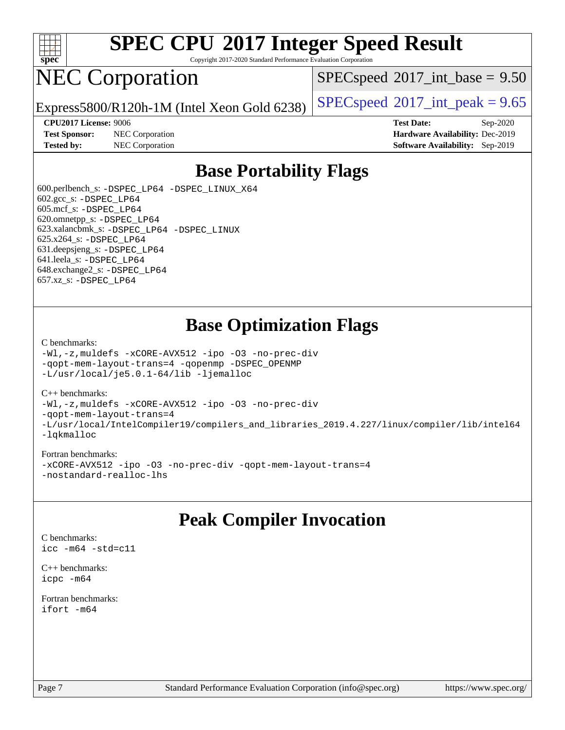

Copyright 2017-2020 Standard Performance Evaluation Corporation

## NEC Corporation

 $SPECspeed^{\circ}2017\_int\_base = 9.50$  $SPECspeed^{\circ}2017\_int\_base = 9.50$ 

Express5800/R120h-1M (Intel Xeon Gold 6238) [SPECspeed](http://www.spec.org/auto/cpu2017/Docs/result-fields.html#SPECspeed2017intpeak)<sup>®</sup>[2017\\_int\\_peak = 9](http://www.spec.org/auto/cpu2017/Docs/result-fields.html#SPECspeed2017intpeak).65

**[Test Sponsor:](http://www.spec.org/auto/cpu2017/Docs/result-fields.html#TestSponsor)** NEC Corporation **[Hardware Availability:](http://www.spec.org/auto/cpu2017/Docs/result-fields.html#HardwareAvailability)** Dec-2019

**[CPU2017 License:](http://www.spec.org/auto/cpu2017/Docs/result-fields.html#CPU2017License)** 9006 **[Test Date:](http://www.spec.org/auto/cpu2017/Docs/result-fields.html#TestDate)** Sep-2020 **[Tested by:](http://www.spec.org/auto/cpu2017/Docs/result-fields.html#Testedby)** NEC Corporation **[Software Availability:](http://www.spec.org/auto/cpu2017/Docs/result-fields.html#SoftwareAvailability)** Sep-2019

### **[Base Portability Flags](http://www.spec.org/auto/cpu2017/Docs/result-fields.html#BasePortabilityFlags)**

 600.perlbench\_s: [-DSPEC\\_LP64](http://www.spec.org/cpu2017/results/res2020q4/cpu2017-20200928-24119.flags.html#b600.perlbench_s_basePORTABILITY_DSPEC_LP64) [-DSPEC\\_LINUX\\_X64](http://www.spec.org/cpu2017/results/res2020q4/cpu2017-20200928-24119.flags.html#b600.perlbench_s_baseCPORTABILITY_DSPEC_LINUX_X64) 602.gcc\_s: [-DSPEC\\_LP64](http://www.spec.org/cpu2017/results/res2020q4/cpu2017-20200928-24119.flags.html#suite_basePORTABILITY602_gcc_s_DSPEC_LP64) 605.mcf\_s: [-DSPEC\\_LP64](http://www.spec.org/cpu2017/results/res2020q4/cpu2017-20200928-24119.flags.html#suite_basePORTABILITY605_mcf_s_DSPEC_LP64) 620.omnetpp\_s: [-DSPEC\\_LP64](http://www.spec.org/cpu2017/results/res2020q4/cpu2017-20200928-24119.flags.html#suite_basePORTABILITY620_omnetpp_s_DSPEC_LP64) 623.xalancbmk\_s: [-DSPEC\\_LP64](http://www.spec.org/cpu2017/results/res2020q4/cpu2017-20200928-24119.flags.html#suite_basePORTABILITY623_xalancbmk_s_DSPEC_LP64) [-DSPEC\\_LINUX](http://www.spec.org/cpu2017/results/res2020q4/cpu2017-20200928-24119.flags.html#b623.xalancbmk_s_baseCXXPORTABILITY_DSPEC_LINUX) 625.x264\_s: [-DSPEC\\_LP64](http://www.spec.org/cpu2017/results/res2020q4/cpu2017-20200928-24119.flags.html#suite_basePORTABILITY625_x264_s_DSPEC_LP64) 631.deepsjeng\_s: [-DSPEC\\_LP64](http://www.spec.org/cpu2017/results/res2020q4/cpu2017-20200928-24119.flags.html#suite_basePORTABILITY631_deepsjeng_s_DSPEC_LP64) 641.leela\_s: [-DSPEC\\_LP64](http://www.spec.org/cpu2017/results/res2020q4/cpu2017-20200928-24119.flags.html#suite_basePORTABILITY641_leela_s_DSPEC_LP64) 648.exchange2\_s: [-DSPEC\\_LP64](http://www.spec.org/cpu2017/results/res2020q4/cpu2017-20200928-24119.flags.html#suite_basePORTABILITY648_exchange2_s_DSPEC_LP64) 657.xz\_s: [-DSPEC\\_LP64](http://www.spec.org/cpu2017/results/res2020q4/cpu2017-20200928-24119.flags.html#suite_basePORTABILITY657_xz_s_DSPEC_LP64)

### **[Base Optimization Flags](http://www.spec.org/auto/cpu2017/Docs/result-fields.html#BaseOptimizationFlags)**

#### [C benchmarks](http://www.spec.org/auto/cpu2017/Docs/result-fields.html#Cbenchmarks):

[-Wl,-z,muldefs](http://www.spec.org/cpu2017/results/res2020q4/cpu2017-20200928-24119.flags.html#user_CCbase_link_force_multiple1_b4cbdb97b34bdee9ceefcfe54f4c8ea74255f0b02a4b23e853cdb0e18eb4525ac79b5a88067c842dd0ee6996c24547a27a4b99331201badda8798ef8a743f577) [-xCORE-AVX512](http://www.spec.org/cpu2017/results/res2020q4/cpu2017-20200928-24119.flags.html#user_CCbase_f-xCORE-AVX512) [-ipo](http://www.spec.org/cpu2017/results/res2020q4/cpu2017-20200928-24119.flags.html#user_CCbase_f-ipo) [-O3](http://www.spec.org/cpu2017/results/res2020q4/cpu2017-20200928-24119.flags.html#user_CCbase_f-O3) [-no-prec-div](http://www.spec.org/cpu2017/results/res2020q4/cpu2017-20200928-24119.flags.html#user_CCbase_f-no-prec-div) [-qopt-mem-layout-trans=4](http://www.spec.org/cpu2017/results/res2020q4/cpu2017-20200928-24119.flags.html#user_CCbase_f-qopt-mem-layout-trans_fa39e755916c150a61361b7846f310bcdf6f04e385ef281cadf3647acec3f0ae266d1a1d22d972a7087a248fd4e6ca390a3634700869573d231a252c784941a8) [-qopenmp](http://www.spec.org/cpu2017/results/res2020q4/cpu2017-20200928-24119.flags.html#user_CCbase_qopenmp_16be0c44f24f464004c6784a7acb94aca937f053568ce72f94b139a11c7c168634a55f6653758ddd83bcf7b8463e8028bb0b48b77bcddc6b78d5d95bb1df2967) [-DSPEC\\_OPENMP](http://www.spec.org/cpu2017/results/res2020q4/cpu2017-20200928-24119.flags.html#suite_CCbase_DSPEC_OPENMP) [-L/usr/local/je5.0.1-64/lib](http://www.spec.org/cpu2017/results/res2020q4/cpu2017-20200928-24119.flags.html#user_CCbase_jemalloc_link_path64_4b10a636b7bce113509b17f3bd0d6226c5fb2346b9178c2d0232c14f04ab830f976640479e5c33dc2bcbbdad86ecfb6634cbbd4418746f06f368b512fced5394) [-ljemalloc](http://www.spec.org/cpu2017/results/res2020q4/cpu2017-20200928-24119.flags.html#user_CCbase_jemalloc_link_lib_d1249b907c500fa1c0672f44f562e3d0f79738ae9e3c4a9c376d49f265a04b9c99b167ecedbf6711b3085be911c67ff61f150a17b3472be731631ba4d0471706)

#### [C++ benchmarks:](http://www.spec.org/auto/cpu2017/Docs/result-fields.html#CXXbenchmarks)

[-Wl,-z,muldefs](http://www.spec.org/cpu2017/results/res2020q4/cpu2017-20200928-24119.flags.html#user_CXXbase_link_force_multiple1_b4cbdb97b34bdee9ceefcfe54f4c8ea74255f0b02a4b23e853cdb0e18eb4525ac79b5a88067c842dd0ee6996c24547a27a4b99331201badda8798ef8a743f577) [-xCORE-AVX512](http://www.spec.org/cpu2017/results/res2020q4/cpu2017-20200928-24119.flags.html#user_CXXbase_f-xCORE-AVX512) [-ipo](http://www.spec.org/cpu2017/results/res2020q4/cpu2017-20200928-24119.flags.html#user_CXXbase_f-ipo) [-O3](http://www.spec.org/cpu2017/results/res2020q4/cpu2017-20200928-24119.flags.html#user_CXXbase_f-O3) [-no-prec-div](http://www.spec.org/cpu2017/results/res2020q4/cpu2017-20200928-24119.flags.html#user_CXXbase_f-no-prec-div) [-qopt-mem-layout-trans=4](http://www.spec.org/cpu2017/results/res2020q4/cpu2017-20200928-24119.flags.html#user_CXXbase_f-qopt-mem-layout-trans_fa39e755916c150a61361b7846f310bcdf6f04e385ef281cadf3647acec3f0ae266d1a1d22d972a7087a248fd4e6ca390a3634700869573d231a252c784941a8) [-L/usr/local/IntelCompiler19/compilers\\_and\\_libraries\\_2019.4.227/linux/compiler/lib/intel64](http://www.spec.org/cpu2017/results/res2020q4/cpu2017-20200928-24119.flags.html#user_CXXbase_qkmalloc_link_0ffe0cb02c68ef1b443a077c7888c10c67ca0d1dd7138472156f06a085bbad385f78d49618ad55dca9db3b1608e84afc2f69b4003b1d1ca498a9fc1462ccefda) [-lqkmalloc](http://www.spec.org/cpu2017/results/res2020q4/cpu2017-20200928-24119.flags.html#user_CXXbase_qkmalloc_link_lib_79a818439969f771c6bc311cfd333c00fc099dad35c030f5aab9dda831713d2015205805422f83de8875488a2991c0a156aaa600e1f9138f8fc37004abc96dc5)

#### [Fortran benchmarks:](http://www.spec.org/auto/cpu2017/Docs/result-fields.html#Fortranbenchmarks)

[-xCORE-AVX512](http://www.spec.org/cpu2017/results/res2020q4/cpu2017-20200928-24119.flags.html#user_FCbase_f-xCORE-AVX512) [-ipo](http://www.spec.org/cpu2017/results/res2020q4/cpu2017-20200928-24119.flags.html#user_FCbase_f-ipo) [-O3](http://www.spec.org/cpu2017/results/res2020q4/cpu2017-20200928-24119.flags.html#user_FCbase_f-O3) [-no-prec-div](http://www.spec.org/cpu2017/results/res2020q4/cpu2017-20200928-24119.flags.html#user_FCbase_f-no-prec-div) [-qopt-mem-layout-trans=4](http://www.spec.org/cpu2017/results/res2020q4/cpu2017-20200928-24119.flags.html#user_FCbase_f-qopt-mem-layout-trans_fa39e755916c150a61361b7846f310bcdf6f04e385ef281cadf3647acec3f0ae266d1a1d22d972a7087a248fd4e6ca390a3634700869573d231a252c784941a8) [-nostandard-realloc-lhs](http://www.spec.org/cpu2017/results/res2020q4/cpu2017-20200928-24119.flags.html#user_FCbase_f_2003_std_realloc_82b4557e90729c0f113870c07e44d33d6f5a304b4f63d4c15d2d0f1fab99f5daaed73bdb9275d9ae411527f28b936061aa8b9c8f2d63842963b95c9dd6426b8a)

### **[Peak Compiler Invocation](http://www.spec.org/auto/cpu2017/Docs/result-fields.html#PeakCompilerInvocation)**

[C benchmarks](http://www.spec.org/auto/cpu2017/Docs/result-fields.html#Cbenchmarks): [icc -m64 -std=c11](http://www.spec.org/cpu2017/results/res2020q4/cpu2017-20200928-24119.flags.html#user_CCpeak_intel_icc_64bit_c11_33ee0cdaae7deeeab2a9725423ba97205ce30f63b9926c2519791662299b76a0318f32ddfffdc46587804de3178b4f9328c46fa7c2b0cd779d7a61945c91cd35)

[C++ benchmarks:](http://www.spec.org/auto/cpu2017/Docs/result-fields.html#CXXbenchmarks) [icpc -m64](http://www.spec.org/cpu2017/results/res2020q4/cpu2017-20200928-24119.flags.html#user_CXXpeak_intel_icpc_64bit_4ecb2543ae3f1412ef961e0650ca070fec7b7afdcd6ed48761b84423119d1bf6bdf5cad15b44d48e7256388bc77273b966e5eb805aefd121eb22e9299b2ec9d9)

[Fortran benchmarks](http://www.spec.org/auto/cpu2017/Docs/result-fields.html#Fortranbenchmarks): [ifort -m64](http://www.spec.org/cpu2017/results/res2020q4/cpu2017-20200928-24119.flags.html#user_FCpeak_intel_ifort_64bit_24f2bb282fbaeffd6157abe4f878425411749daecae9a33200eee2bee2fe76f3b89351d69a8130dd5949958ce389cf37ff59a95e7a40d588e8d3a57e0c3fd751)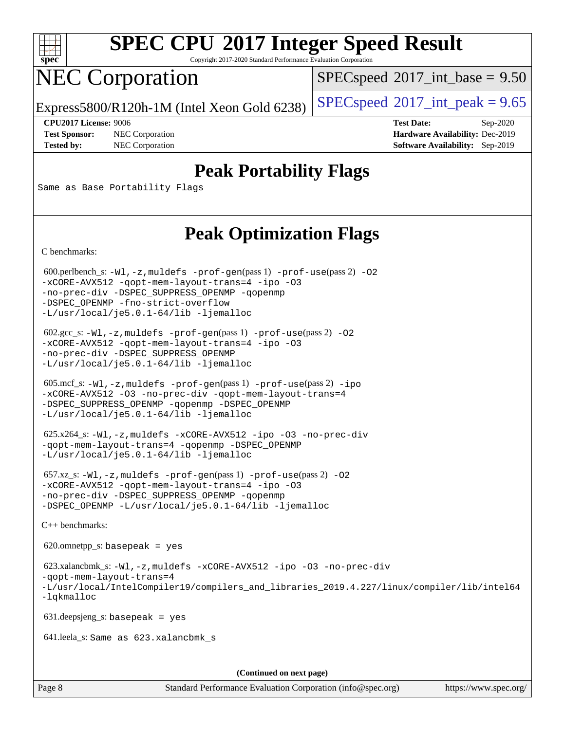

Copyright 2017-2020 Standard Performance Evaluation Corporation

# NEC Corporation

 $SPECspeed^{\circ}2017\_int\_base = 9.50$  $SPECspeed^{\circ}2017\_int\_base = 9.50$ 

Express5800/R120h-1M (Intel Xeon Gold 6238) [SPECspeed](http://www.spec.org/auto/cpu2017/Docs/result-fields.html#SPECspeed2017intpeak)<sup>®</sup>[2017\\_int\\_peak = 9](http://www.spec.org/auto/cpu2017/Docs/result-fields.html#SPECspeed2017intpeak).65

**[Test Sponsor:](http://www.spec.org/auto/cpu2017/Docs/result-fields.html#TestSponsor)** NEC Corporation **[Hardware Availability:](http://www.spec.org/auto/cpu2017/Docs/result-fields.html#HardwareAvailability)** Dec-2019

**[CPU2017 License:](http://www.spec.org/auto/cpu2017/Docs/result-fields.html#CPU2017License)** 9006 **[Test Date:](http://www.spec.org/auto/cpu2017/Docs/result-fields.html#TestDate)** Sep-2020 **[Tested by:](http://www.spec.org/auto/cpu2017/Docs/result-fields.html#Testedby)** NEC Corporation **[Software Availability:](http://www.spec.org/auto/cpu2017/Docs/result-fields.html#SoftwareAvailability)** Sep-2019

### **[Peak Portability Flags](http://www.spec.org/auto/cpu2017/Docs/result-fields.html#PeakPortabilityFlags)**

Same as Base Portability Flags

### **[Peak Optimization Flags](http://www.spec.org/auto/cpu2017/Docs/result-fields.html#PeakOptimizationFlags)**

[C benchmarks](http://www.spec.org/auto/cpu2017/Docs/result-fields.html#Cbenchmarks):

600.perlbench\_s:  $-W1$ , -z, muldefs [-prof-gen](http://www.spec.org/cpu2017/results/res2020q4/cpu2017-20200928-24119.flags.html#user_peakPASS1_CFLAGSPASS1_LDFLAGS600_perlbench_s_prof_gen_5aa4926d6013ddb2a31985c654b3eb18169fc0c6952a63635c234f711e6e63dd76e94ad52365559451ec499a2cdb89e4dc58ba4c67ef54ca681ffbe1461d6b36)(pass 1) [-prof-use](http://www.spec.org/cpu2017/results/res2020q4/cpu2017-20200928-24119.flags.html#user_peakPASS2_CFLAGSPASS2_LDFLAGS600_perlbench_s_prof_use_1a21ceae95f36a2b53c25747139a6c16ca95bd9def2a207b4f0849963b97e94f5260e30a0c64f4bb623698870e679ca08317ef8150905d41bd88c6f78df73f19)(pass 2) -02 [-xCORE-AVX512](http://www.spec.org/cpu2017/results/res2020q4/cpu2017-20200928-24119.flags.html#user_peakPASS2_COPTIMIZE600_perlbench_s_f-xCORE-AVX512) [-qopt-mem-layout-trans=4](http://www.spec.org/cpu2017/results/res2020q4/cpu2017-20200928-24119.flags.html#user_peakPASS1_COPTIMIZEPASS2_COPTIMIZE600_perlbench_s_f-qopt-mem-layout-trans_fa39e755916c150a61361b7846f310bcdf6f04e385ef281cadf3647acec3f0ae266d1a1d22d972a7087a248fd4e6ca390a3634700869573d231a252c784941a8) [-ipo](http://www.spec.org/cpu2017/results/res2020q4/cpu2017-20200928-24119.flags.html#user_peakPASS2_COPTIMIZE600_perlbench_s_f-ipo) [-O3](http://www.spec.org/cpu2017/results/res2020q4/cpu2017-20200928-24119.flags.html#user_peakPASS2_COPTIMIZE600_perlbench_s_f-O3) [-no-prec-div](http://www.spec.org/cpu2017/results/res2020q4/cpu2017-20200928-24119.flags.html#user_peakPASS2_COPTIMIZE600_perlbench_s_f-no-prec-div) [-DSPEC\\_SUPPRESS\\_OPENMP](http://www.spec.org/cpu2017/results/res2020q4/cpu2017-20200928-24119.flags.html#suite_peakPASS1_COPTIMIZE600_perlbench_s_DSPEC_SUPPRESS_OPENMP) [-qopenmp](http://www.spec.org/cpu2017/results/res2020q4/cpu2017-20200928-24119.flags.html#user_peakPASS2_COPTIMIZE600_perlbench_s_qopenmp_16be0c44f24f464004c6784a7acb94aca937f053568ce72f94b139a11c7c168634a55f6653758ddd83bcf7b8463e8028bb0b48b77bcddc6b78d5d95bb1df2967) [-DSPEC\\_OPENMP](http://www.spec.org/cpu2017/results/res2020q4/cpu2017-20200928-24119.flags.html#suite_peakPASS2_COPTIMIZE600_perlbench_s_DSPEC_OPENMP) [-fno-strict-overflow](http://www.spec.org/cpu2017/results/res2020q4/cpu2017-20200928-24119.flags.html#user_peakEXTRA_OPTIMIZE600_perlbench_s_f-fno-strict-overflow) [-L/usr/local/je5.0.1-64/lib](http://www.spec.org/cpu2017/results/res2020q4/cpu2017-20200928-24119.flags.html#user_peakEXTRA_LIBS600_perlbench_s_jemalloc_link_path64_4b10a636b7bce113509b17f3bd0d6226c5fb2346b9178c2d0232c14f04ab830f976640479e5c33dc2bcbbdad86ecfb6634cbbd4418746f06f368b512fced5394) [-ljemalloc](http://www.spec.org/cpu2017/results/res2020q4/cpu2017-20200928-24119.flags.html#user_peakEXTRA_LIBS600_perlbench_s_jemalloc_link_lib_d1249b907c500fa1c0672f44f562e3d0f79738ae9e3c4a9c376d49f265a04b9c99b167ecedbf6711b3085be911c67ff61f150a17b3472be731631ba4d0471706)

 602.gcc\_s: [-Wl,-z,muldefs](http://www.spec.org/cpu2017/results/res2020q4/cpu2017-20200928-24119.flags.html#user_peakEXTRA_LDFLAGS602_gcc_s_link_force_multiple1_b4cbdb97b34bdee9ceefcfe54f4c8ea74255f0b02a4b23e853cdb0e18eb4525ac79b5a88067c842dd0ee6996c24547a27a4b99331201badda8798ef8a743f577) [-prof-gen](http://www.spec.org/cpu2017/results/res2020q4/cpu2017-20200928-24119.flags.html#user_peakPASS1_CFLAGSPASS1_LDFLAGS602_gcc_s_prof_gen_5aa4926d6013ddb2a31985c654b3eb18169fc0c6952a63635c234f711e6e63dd76e94ad52365559451ec499a2cdb89e4dc58ba4c67ef54ca681ffbe1461d6b36)(pass 1) [-prof-use](http://www.spec.org/cpu2017/results/res2020q4/cpu2017-20200928-24119.flags.html#user_peakPASS2_CFLAGSPASS2_LDFLAGS602_gcc_s_prof_use_1a21ceae95f36a2b53c25747139a6c16ca95bd9def2a207b4f0849963b97e94f5260e30a0c64f4bb623698870e679ca08317ef8150905d41bd88c6f78df73f19)(pass 2) [-O2](http://www.spec.org/cpu2017/results/res2020q4/cpu2017-20200928-24119.flags.html#user_peakPASS1_COPTIMIZE602_gcc_s_f-O2) [-xCORE-AVX512](http://www.spec.org/cpu2017/results/res2020q4/cpu2017-20200928-24119.flags.html#user_peakPASS2_COPTIMIZE602_gcc_s_f-xCORE-AVX512) [-qopt-mem-layout-trans=4](http://www.spec.org/cpu2017/results/res2020q4/cpu2017-20200928-24119.flags.html#user_peakPASS1_COPTIMIZEPASS2_COPTIMIZE602_gcc_s_f-qopt-mem-layout-trans_fa39e755916c150a61361b7846f310bcdf6f04e385ef281cadf3647acec3f0ae266d1a1d22d972a7087a248fd4e6ca390a3634700869573d231a252c784941a8) [-ipo](http://www.spec.org/cpu2017/results/res2020q4/cpu2017-20200928-24119.flags.html#user_peakPASS2_COPTIMIZE602_gcc_s_f-ipo) [-O3](http://www.spec.org/cpu2017/results/res2020q4/cpu2017-20200928-24119.flags.html#user_peakPASS2_COPTIMIZE602_gcc_s_f-O3) [-no-prec-div](http://www.spec.org/cpu2017/results/res2020q4/cpu2017-20200928-24119.flags.html#user_peakPASS2_COPTIMIZE602_gcc_s_f-no-prec-div) [-DSPEC\\_SUPPRESS\\_OPENMP](http://www.spec.org/cpu2017/results/res2020q4/cpu2017-20200928-24119.flags.html#suite_peakPASS1_COPTIMIZE602_gcc_s_DSPEC_SUPPRESS_OPENMP) [-L/usr/local/je5.0.1-64/lib](http://www.spec.org/cpu2017/results/res2020q4/cpu2017-20200928-24119.flags.html#user_peakEXTRA_LIBS602_gcc_s_jemalloc_link_path64_4b10a636b7bce113509b17f3bd0d6226c5fb2346b9178c2d0232c14f04ab830f976640479e5c33dc2bcbbdad86ecfb6634cbbd4418746f06f368b512fced5394) [-ljemalloc](http://www.spec.org/cpu2017/results/res2020q4/cpu2017-20200928-24119.flags.html#user_peakEXTRA_LIBS602_gcc_s_jemalloc_link_lib_d1249b907c500fa1c0672f44f562e3d0f79738ae9e3c4a9c376d49f265a04b9c99b167ecedbf6711b3085be911c67ff61f150a17b3472be731631ba4d0471706)

 605.mcf\_s: [-Wl,-z,muldefs](http://www.spec.org/cpu2017/results/res2020q4/cpu2017-20200928-24119.flags.html#user_peakEXTRA_LDFLAGS605_mcf_s_link_force_multiple1_b4cbdb97b34bdee9ceefcfe54f4c8ea74255f0b02a4b23e853cdb0e18eb4525ac79b5a88067c842dd0ee6996c24547a27a4b99331201badda8798ef8a743f577) [-prof-gen](http://www.spec.org/cpu2017/results/res2020q4/cpu2017-20200928-24119.flags.html#user_peakPASS1_CFLAGSPASS1_LDFLAGS605_mcf_s_prof_gen_5aa4926d6013ddb2a31985c654b3eb18169fc0c6952a63635c234f711e6e63dd76e94ad52365559451ec499a2cdb89e4dc58ba4c67ef54ca681ffbe1461d6b36)(pass 1) [-prof-use](http://www.spec.org/cpu2017/results/res2020q4/cpu2017-20200928-24119.flags.html#user_peakPASS2_CFLAGSPASS2_LDFLAGS605_mcf_s_prof_use_1a21ceae95f36a2b53c25747139a6c16ca95bd9def2a207b4f0849963b97e94f5260e30a0c64f4bb623698870e679ca08317ef8150905d41bd88c6f78df73f19)(pass 2) [-ipo](http://www.spec.org/cpu2017/results/res2020q4/cpu2017-20200928-24119.flags.html#user_peakPASS1_COPTIMIZEPASS2_COPTIMIZE605_mcf_s_f-ipo) [-xCORE-AVX512](http://www.spec.org/cpu2017/results/res2020q4/cpu2017-20200928-24119.flags.html#user_peakPASS2_COPTIMIZE605_mcf_s_f-xCORE-AVX512) [-O3](http://www.spec.org/cpu2017/results/res2020q4/cpu2017-20200928-24119.flags.html#user_peakPASS1_COPTIMIZEPASS2_COPTIMIZE605_mcf_s_f-O3) [-no-prec-div](http://www.spec.org/cpu2017/results/res2020q4/cpu2017-20200928-24119.flags.html#user_peakPASS1_COPTIMIZEPASS2_COPTIMIZE605_mcf_s_f-no-prec-div) [-qopt-mem-layout-trans=4](http://www.spec.org/cpu2017/results/res2020q4/cpu2017-20200928-24119.flags.html#user_peakPASS1_COPTIMIZEPASS2_COPTIMIZE605_mcf_s_f-qopt-mem-layout-trans_fa39e755916c150a61361b7846f310bcdf6f04e385ef281cadf3647acec3f0ae266d1a1d22d972a7087a248fd4e6ca390a3634700869573d231a252c784941a8) [-DSPEC\\_SUPPRESS\\_OPENMP](http://www.spec.org/cpu2017/results/res2020q4/cpu2017-20200928-24119.flags.html#suite_peakPASS1_COPTIMIZE605_mcf_s_DSPEC_SUPPRESS_OPENMP) [-qopenmp](http://www.spec.org/cpu2017/results/res2020q4/cpu2017-20200928-24119.flags.html#user_peakPASS2_COPTIMIZE605_mcf_s_qopenmp_16be0c44f24f464004c6784a7acb94aca937f053568ce72f94b139a11c7c168634a55f6653758ddd83bcf7b8463e8028bb0b48b77bcddc6b78d5d95bb1df2967) [-DSPEC\\_OPENMP](http://www.spec.org/cpu2017/results/res2020q4/cpu2017-20200928-24119.flags.html#suite_peakPASS2_COPTIMIZE605_mcf_s_DSPEC_OPENMP) [-L/usr/local/je5.0.1-64/lib](http://www.spec.org/cpu2017/results/res2020q4/cpu2017-20200928-24119.flags.html#user_peakEXTRA_LIBS605_mcf_s_jemalloc_link_path64_4b10a636b7bce113509b17f3bd0d6226c5fb2346b9178c2d0232c14f04ab830f976640479e5c33dc2bcbbdad86ecfb6634cbbd4418746f06f368b512fced5394) [-ljemalloc](http://www.spec.org/cpu2017/results/res2020q4/cpu2017-20200928-24119.flags.html#user_peakEXTRA_LIBS605_mcf_s_jemalloc_link_lib_d1249b907c500fa1c0672f44f562e3d0f79738ae9e3c4a9c376d49f265a04b9c99b167ecedbf6711b3085be911c67ff61f150a17b3472be731631ba4d0471706)

 625.x264\_s: [-Wl,-z,muldefs](http://www.spec.org/cpu2017/results/res2020q4/cpu2017-20200928-24119.flags.html#user_peakEXTRA_LDFLAGS625_x264_s_link_force_multiple1_b4cbdb97b34bdee9ceefcfe54f4c8ea74255f0b02a4b23e853cdb0e18eb4525ac79b5a88067c842dd0ee6996c24547a27a4b99331201badda8798ef8a743f577) [-xCORE-AVX512](http://www.spec.org/cpu2017/results/res2020q4/cpu2017-20200928-24119.flags.html#user_peakCOPTIMIZE625_x264_s_f-xCORE-AVX512) [-ipo](http://www.spec.org/cpu2017/results/res2020q4/cpu2017-20200928-24119.flags.html#user_peakCOPTIMIZE625_x264_s_f-ipo) [-O3](http://www.spec.org/cpu2017/results/res2020q4/cpu2017-20200928-24119.flags.html#user_peakCOPTIMIZE625_x264_s_f-O3) [-no-prec-div](http://www.spec.org/cpu2017/results/res2020q4/cpu2017-20200928-24119.flags.html#user_peakCOPTIMIZE625_x264_s_f-no-prec-div) [-qopt-mem-layout-trans=4](http://www.spec.org/cpu2017/results/res2020q4/cpu2017-20200928-24119.flags.html#user_peakCOPTIMIZE625_x264_s_f-qopt-mem-layout-trans_fa39e755916c150a61361b7846f310bcdf6f04e385ef281cadf3647acec3f0ae266d1a1d22d972a7087a248fd4e6ca390a3634700869573d231a252c784941a8) [-qopenmp](http://www.spec.org/cpu2017/results/res2020q4/cpu2017-20200928-24119.flags.html#user_peakCOPTIMIZE625_x264_s_qopenmp_16be0c44f24f464004c6784a7acb94aca937f053568ce72f94b139a11c7c168634a55f6653758ddd83bcf7b8463e8028bb0b48b77bcddc6b78d5d95bb1df2967) [-DSPEC\\_OPENMP](http://www.spec.org/cpu2017/results/res2020q4/cpu2017-20200928-24119.flags.html#suite_peakCOPTIMIZE625_x264_s_DSPEC_OPENMP) [-L/usr/local/je5.0.1-64/lib](http://www.spec.org/cpu2017/results/res2020q4/cpu2017-20200928-24119.flags.html#user_peakEXTRA_LIBS625_x264_s_jemalloc_link_path64_4b10a636b7bce113509b17f3bd0d6226c5fb2346b9178c2d0232c14f04ab830f976640479e5c33dc2bcbbdad86ecfb6634cbbd4418746f06f368b512fced5394) [-ljemalloc](http://www.spec.org/cpu2017/results/res2020q4/cpu2017-20200928-24119.flags.html#user_peakEXTRA_LIBS625_x264_s_jemalloc_link_lib_d1249b907c500fa1c0672f44f562e3d0f79738ae9e3c4a9c376d49f265a04b9c99b167ecedbf6711b3085be911c67ff61f150a17b3472be731631ba4d0471706)

 657.xz\_s: [-Wl,-z,muldefs](http://www.spec.org/cpu2017/results/res2020q4/cpu2017-20200928-24119.flags.html#user_peakEXTRA_LDFLAGS657_xz_s_link_force_multiple1_b4cbdb97b34bdee9ceefcfe54f4c8ea74255f0b02a4b23e853cdb0e18eb4525ac79b5a88067c842dd0ee6996c24547a27a4b99331201badda8798ef8a743f577) [-prof-gen](http://www.spec.org/cpu2017/results/res2020q4/cpu2017-20200928-24119.flags.html#user_peakPASS1_CFLAGSPASS1_LDFLAGS657_xz_s_prof_gen_5aa4926d6013ddb2a31985c654b3eb18169fc0c6952a63635c234f711e6e63dd76e94ad52365559451ec499a2cdb89e4dc58ba4c67ef54ca681ffbe1461d6b36)(pass 1) [-prof-use](http://www.spec.org/cpu2017/results/res2020q4/cpu2017-20200928-24119.flags.html#user_peakPASS2_CFLAGSPASS2_LDFLAGS657_xz_s_prof_use_1a21ceae95f36a2b53c25747139a6c16ca95bd9def2a207b4f0849963b97e94f5260e30a0c64f4bb623698870e679ca08317ef8150905d41bd88c6f78df73f19)(pass 2) [-O2](http://www.spec.org/cpu2017/results/res2020q4/cpu2017-20200928-24119.flags.html#user_peakPASS1_COPTIMIZE657_xz_s_f-O2) [-xCORE-AVX512](http://www.spec.org/cpu2017/results/res2020q4/cpu2017-20200928-24119.flags.html#user_peakPASS2_COPTIMIZE657_xz_s_f-xCORE-AVX512) [-qopt-mem-layout-trans=4](http://www.spec.org/cpu2017/results/res2020q4/cpu2017-20200928-24119.flags.html#user_peakPASS1_COPTIMIZEPASS2_COPTIMIZE657_xz_s_f-qopt-mem-layout-trans_fa39e755916c150a61361b7846f310bcdf6f04e385ef281cadf3647acec3f0ae266d1a1d22d972a7087a248fd4e6ca390a3634700869573d231a252c784941a8) [-ipo](http://www.spec.org/cpu2017/results/res2020q4/cpu2017-20200928-24119.flags.html#user_peakPASS2_COPTIMIZE657_xz_s_f-ipo) [-O3](http://www.spec.org/cpu2017/results/res2020q4/cpu2017-20200928-24119.flags.html#user_peakPASS2_COPTIMIZE657_xz_s_f-O3) [-no-prec-div](http://www.spec.org/cpu2017/results/res2020q4/cpu2017-20200928-24119.flags.html#user_peakPASS2_COPTIMIZE657_xz_s_f-no-prec-div) [-DSPEC\\_SUPPRESS\\_OPENMP](http://www.spec.org/cpu2017/results/res2020q4/cpu2017-20200928-24119.flags.html#suite_peakPASS1_COPTIMIZE657_xz_s_DSPEC_SUPPRESS_OPENMP) [-qopenmp](http://www.spec.org/cpu2017/results/res2020q4/cpu2017-20200928-24119.flags.html#user_peakPASS2_COPTIMIZE657_xz_s_qopenmp_16be0c44f24f464004c6784a7acb94aca937f053568ce72f94b139a11c7c168634a55f6653758ddd83bcf7b8463e8028bb0b48b77bcddc6b78d5d95bb1df2967) [-DSPEC\\_OPENMP](http://www.spec.org/cpu2017/results/res2020q4/cpu2017-20200928-24119.flags.html#suite_peakPASS2_COPTIMIZE657_xz_s_DSPEC_OPENMP) [-L/usr/local/je5.0.1-64/lib](http://www.spec.org/cpu2017/results/res2020q4/cpu2017-20200928-24119.flags.html#user_peakEXTRA_LIBS657_xz_s_jemalloc_link_path64_4b10a636b7bce113509b17f3bd0d6226c5fb2346b9178c2d0232c14f04ab830f976640479e5c33dc2bcbbdad86ecfb6634cbbd4418746f06f368b512fced5394) [-ljemalloc](http://www.spec.org/cpu2017/results/res2020q4/cpu2017-20200928-24119.flags.html#user_peakEXTRA_LIBS657_xz_s_jemalloc_link_lib_d1249b907c500fa1c0672f44f562e3d0f79738ae9e3c4a9c376d49f265a04b9c99b167ecedbf6711b3085be911c67ff61f150a17b3472be731631ba4d0471706)

[C++ benchmarks:](http://www.spec.org/auto/cpu2017/Docs/result-fields.html#CXXbenchmarks)

620.omnetpp\_s: basepeak = yes

```
 623.xalancbmk_s: -Wl,-z,muldefs -xCORE-AVX512 -ipo -O3 -no-prec-div
-qopt-mem-layout-trans=4
-L/usr/local/IntelCompiler19/compilers_and_libraries_2019.4.227/linux/compiler/lib/intel64
-lqkmalloc
```
631.deepsjeng\_s: basepeak = yes

641.leela\_s: Same as 623.xalancbmk\_s

**(Continued on next page)**